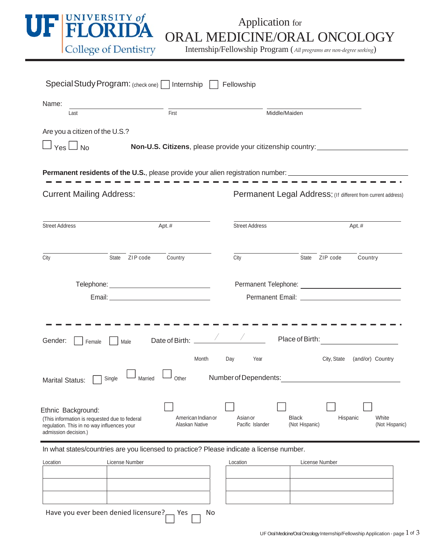

Internship/Fellowship Program (*All programs are non‐degree seeking*)

| Special Study Program: (check one) Internship                                                                                             |                |                                      |                                                              | Fellowship                                                                 |                                |                |                  |                |
|-------------------------------------------------------------------------------------------------------------------------------------------|----------------|--------------------------------------|--------------------------------------------------------------|----------------------------------------------------------------------------|--------------------------------|----------------|------------------|----------------|
| Name:<br>Last                                                                                                                             |                | First                                |                                                              |                                                                            | Middle/Maiden                  |                |                  |                |
| Are you a citizen of the U.S.?<br>$\Box$ Yes $\Box$ No                                                                                    |                |                                      |                                                              | Non-U.S. Citizens, please provide your citizenship country: ______________ |                                |                |                  |                |
| <b>Permanent residents of the U.S.</b> , please provide your alien registration number: ______________________________                    |                |                                      |                                                              |                                                                            |                                |                |                  |                |
| <b>Current Mailing Address:</b>                                                                                                           |                |                                      | Permanent Legal Address: (If different from current address) |                                                                            |                                |                |                  |                |
| <b>Street Address</b>                                                                                                                     |                | Apt.#                                |                                                              | <b>Street Address</b>                                                      | Apt.#                          |                |                  |                |
| City                                                                                                                                      | State ZIP code | Country                              |                                                              | City                                                                       |                                | State ZIP code | Country          |                |
|                                                                                                                                           |                |                                      |                                                              |                                                                            |                                |                |                  |                |
| Telephone: ___________________________________                                                                                            |                |                                      |                                                              |                                                                            |                                |                |                  |                |
| Gender:<br>Female                                                                                                                         | Male           | Date of Birth: _____<br>Month        |                                                              | $\frac{1}{2}$ $\frac{1}{2}$<br>Day<br>Year                                 | Place of Birth:                | City, State    | (and/or) Country |                |
| Single<br><b>Marital Status:</b>                                                                                                          | Married        |                                      |                                                              | Other <b>Number of Dependents:</b>                                         |                                |                |                  |                |
| Ethnic Background:<br>(This information is requested due to federal<br>regulation. This in no way influences your<br>admission decision.) |                | American Indian or<br>Alaskan Native |                                                              | Asian or<br>Pacific Islander                                               | <b>Black</b><br>(Not Hispanic) | Hispanic       | White            | (Not Hispanic) |
| In what states/countries are you licensed to practice? Please indicate a license number.                                                  |                |                                      |                                                              |                                                                            |                                |                |                  |                |
| Location                                                                                                                                  | License Number |                                      |                                                              | Location                                                                   |                                | License Number |                  |                |
|                                                                                                                                           |                |                                      |                                                              |                                                                            |                                |                |                  |                |

Have you ever been denied licensure? $\Box$  Yes  $\Box$  No

**Contract Contract Contract** 

**Contract Contract State**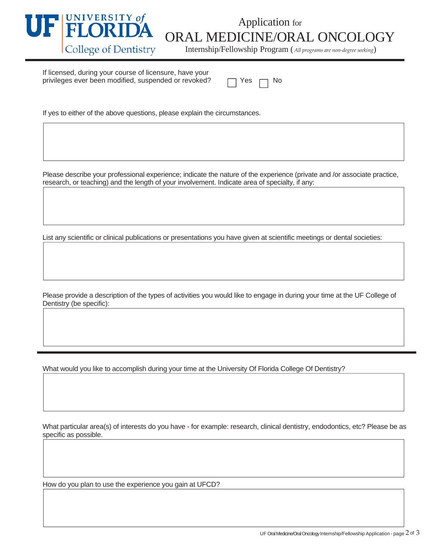

## **FLUINILA** ORAL MEDICINE/ORAL ONCOLOGY<br>College of Dentistry Internship/Fellowship Program (All programs are non-degree seeking)

Internship/Fellowship Program (*All programs are non‐degree seeking*)

If licensed, during your course of licensure, have your privileges ever been modified, suspended or revoked?

If yes to either of the above questions, please explain the circumstances.

Please describe your professional experience; indicate the nature of the experience (private and /or associate practice, research, or teaching) and the length of your involvement. Indicate area of specialty, if any:

List any scientific or clinical publications or presentations you have given at scientific meetings or dental societies:

Please provide a description of the types of activities you would like to engage in during your time at the UF College of Dentistry (be specific):

What would you like to accomplish during your time at the University Of Florida College Of Dentistry?

What particular area(s) of interests do you have - for example: research, clinical dentistry, endodontics, etc? Please be as specific as possible.

How do you plan to use the experience you gain at UFCD?